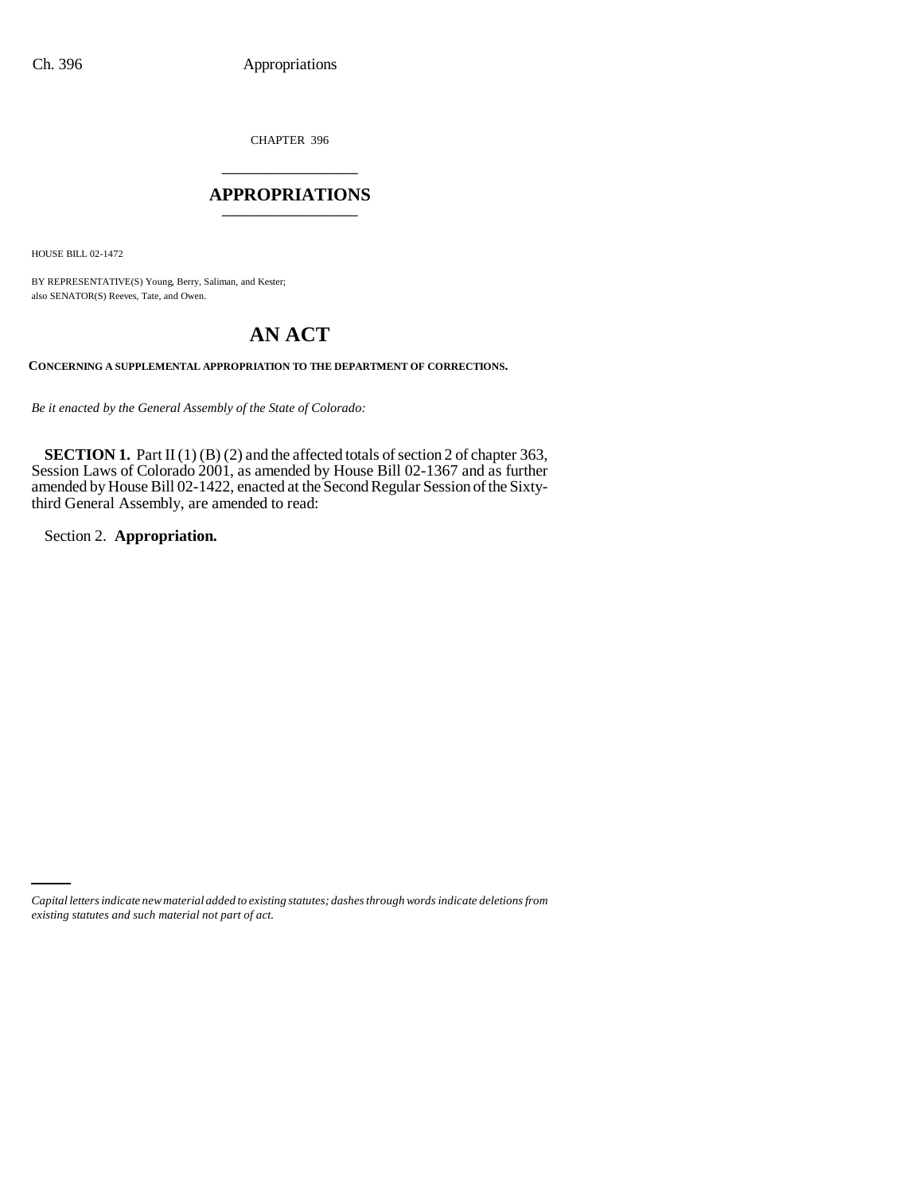CHAPTER 396 \_\_\_\_\_\_\_\_\_\_\_\_\_\_\_

## **APPROPRIATIONS** \_\_\_\_\_\_\_\_\_\_\_\_\_\_\_

HOUSE BILL 02-1472

BY REPRESENTATIVE(S) Young, Berry, Saliman, and Kester; also SENATOR(S) Reeves, Tate, and Owen.

## **AN ACT**

**CONCERNING A SUPPLEMENTAL APPROPRIATION TO THE DEPARTMENT OF CORRECTIONS.**

*Be it enacted by the General Assembly of the State of Colorado:*

**SECTION 1.** Part II (1) (B) (2) and the affected totals of section 2 of chapter 363, Session Laws of Colorado 2001, as amended by House Bill 02-1367 and as further amended by House Bill 02-1422, enacted at the Second Regular Session of the Sixtythird General Assembly, are amended to read:

Section 2. **Appropriation.**

*Capital letters indicate new material added to existing statutes; dashes through words indicate deletions from existing statutes and such material not part of act.*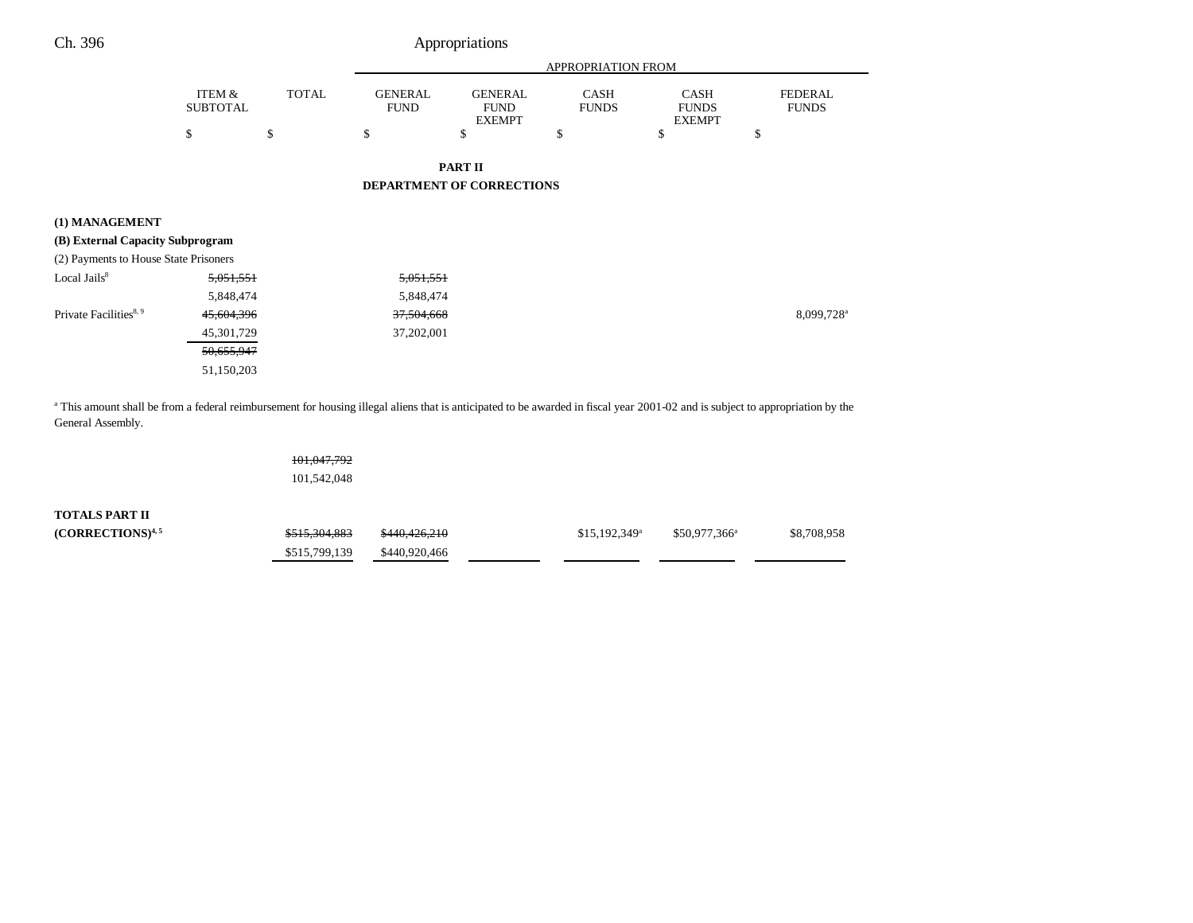| Appropriations |
|----------------|
|                |

|                                                    |                           |              | <b>APPROPRIATION FROM</b>     |                                                |                             |                                       |                                |  |  |  |
|----------------------------------------------------|---------------------------|--------------|-------------------------------|------------------------------------------------|-----------------------------|---------------------------------------|--------------------------------|--|--|--|
|                                                    | ITEM &<br><b>SUBTOTAL</b> | <b>TOTAL</b> | <b>GENERAL</b><br><b>FUND</b> | <b>GENERAL</b><br><b>FUND</b><br><b>EXEMPT</b> | <b>CASH</b><br><b>FUNDS</b> | CASH<br><b>FUNDS</b><br><b>EXEMPT</b> | <b>FEDERAL</b><br><b>FUNDS</b> |  |  |  |
|                                                    | \$                        | \$           | \$                            | \$                                             | \$                          | \$                                    | \$                             |  |  |  |
|                                                    |                           |              |                               | <b>PART II</b>                                 |                             |                                       |                                |  |  |  |
|                                                    |                           |              |                               | DEPARTMENT OF CORRECTIONS                      |                             |                                       |                                |  |  |  |
| (1) MANAGEMENT<br>(B) External Capacity Subprogram |                           |              |                               |                                                |                             |                                       |                                |  |  |  |
| (2) Payments to House State Prisoners              |                           |              |                               |                                                |                             |                                       |                                |  |  |  |
| Local Jails <sup>8</sup>                           | 5,051,551                 |              | 5,051,551                     |                                                |                             |                                       |                                |  |  |  |
|                                                    | 5,848,474                 |              | 5,848,474                     |                                                |                             |                                       |                                |  |  |  |
| Private Facilities <sup>8, 9</sup>                 | 45,604,396                |              | 37,504,668                    |                                                |                             |                                       | 8,099,728 <sup>a</sup>         |  |  |  |
|                                                    | 45, 301, 729              |              | 37,202,001                    |                                                |                             |                                       |                                |  |  |  |
|                                                    | 50,655,947                |              |                               |                                                |                             |                                       |                                |  |  |  |
|                                                    | 51,150,203                |              |                               |                                                |                             |                                       |                                |  |  |  |
|                                                    |                           |              |                               |                                                |                             |                                       |                                |  |  |  |

<sup>a</sup> This amount shall be from a federal reimbursement for housing illegal aliens that is anticipated to be awarded in fiscal year 2001-02 and is subject to appropriation by the General Assembly.

|                              | <del>101,047,792</del>   |               |                            |                       |             |
|------------------------------|--------------------------|---------------|----------------------------|-----------------------|-------------|
|                              | 101,542,048              |               |                            |                       |             |
| TOTALS PART II               |                          |               |                            |                       |             |
| (CORRECTIONS) <sup>4,5</sup> | <del>\$515,304,883</del> | \$440,426,210 | $$15,192,349$ <sup>a</sup> | $$50,977,366^{\circ}$ | \$8,708,958 |
|                              | \$515,799,139            | \$440,920,466 |                            |                       |             |